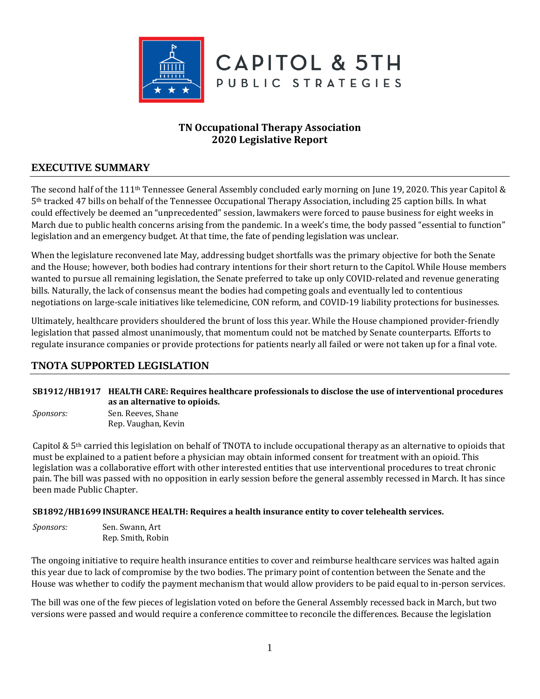

# **TN Occupational Therapy Association 2020 Legislative Report**

# **EXECUTIVE SUMMARY**

The second half of the 111th Tennessee General Assembly concluded early morning on June 19, 2020. This year Capitol & 5th tracked 47 bills on behalf of the Tennessee Occupational Therapy Association, including 25 caption bills. In what could effectively be deemed an "unprecedented" session, lawmakers were forced to pause business for eight weeks in March due to public health concerns arising from the pandemic. In a week's time, the body passed "essential to function" legislation and an emergency budget. At that time, the fate of pending legislation was unclear.

When the legislature reconvened late May, addressing budget shortfalls was the primary objective for both the Senate and the House; however, both bodies had contrary intentions for their short return to the Capitol. While House members wanted to pursue all remaining legislation, the Senate preferred to take up only COVID-related and revenue generating bills. Naturally, the lack of consensus meant the bodies had competing goals and eventually led to contentious negotiations on large-scale initiatives like telemedicine, CON reform, and COVID-19 liability protections for businesses.

Ultimately, healthcare providers shouldered the brunt of loss this year. While the House championed provider-friendly legislation that passed almost unanimously, that momentum could not be matched by Senate counterparts. Efforts to regulate insurance companies or provide protections for patients nearly all failed or were not taken up for a final vote.

# **TNOTA SUPPORTED LEGISLATION**

### **[SB1912/HB1917 HEALTH CARE: Requires healthcare professionals to disclose the use of interventional procedures](https://tls.mleesmith.com/2019-2020/pdf/SB1912.pdf)  [as an alternative to opioids.](https://tls.mleesmith.com/2019-2020/pdf/SB1912.pdf)**

*Sponsors:* Sen. Reeves, Shane Rep. Vaughan, Kevin

Capitol & 5th carried this legislation on behalf of TNOTA to include occupational therapy as an alternative to opioids that must be explained to a patient before a physician may obtain informed consent for treatment with an opioid. This legislation was a collaborative effort with other interested entities that use interventional procedures to treat chronic pain. The bill was passed with no opposition in early session before the general assembly recessed in March. It has since been made Public Chapter.

### **[SB1892/HB1699 INSURANCE HEALTH: Requires a health insurance entity to cover telehealth services.](https://tls.mleesmith.com/2019-2020/pdf/SB1892.pdf)**

*Sponsors:* Sen. Swann, Art Rep. Smith, Robin

The ongoing initiative to require health insurance entities to cover and reimburse healthcare services was halted again this year due to lack of compromise by the two bodies. The primary point of contention between the Senate and the House was whether to codify the payment mechanism that would allow providers to be paid equal to in-person services.

The bill was one of the few pieces of legislation voted on before the General Assembly recessed back in March, but two versions were passed and would require a conference committee to reconcile the differences. Because the legislation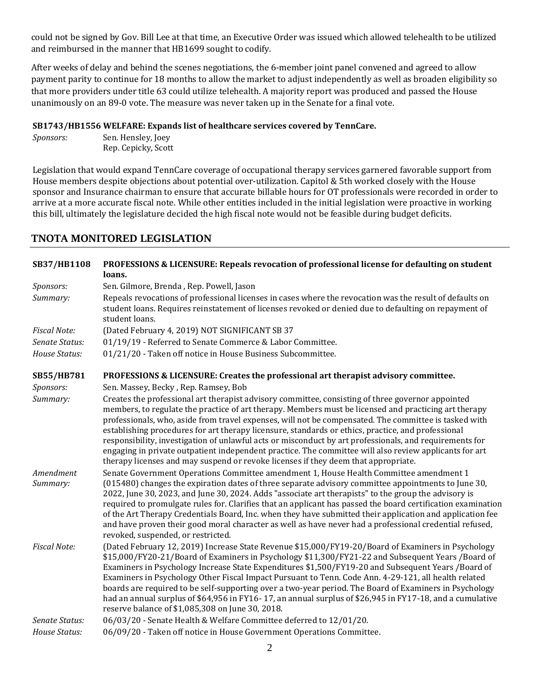could not be signed by Gov. Bill Lee at that time, an Executive Order was issued which allowed telehealth to be utilized and reimbursed in the manner that HB1699 sought to codify.

After weeks of delay and behind the scenes negotiations, the 6-member joint panel convened and agreed to allow payment parity to continue for 18 months to allow the market to adjust independently as well as broaden eligibility so that more providers under title 63 could utilize telehealth. A majority report was produced and passed the House unanimously on an 89-0 vote. The measure was never taken up in the Senate for a final vote.

## **[SB1743/HB1556 WELFARE: Expands list of healthcare services covered by TennCare.](https://tls.mleesmith.com/2019-2020/pdf/SB1743.pdf)**

*Sponsors:* Sen. Hensley, Joey Rep. Cepicky, Scott

Legislation that would expand TennCare coverage of occupational therapy services garnered favorable support from House members despite objections about potential over-utilization. Capitol & 5th worked closely with the House sponsor and Insurance chairman to ensure that accurate billable hours for OT professionals were recorded in order to arrive at a more accurate fiscal note. While other entities included in the initial legislation were proactive in working this bill, ultimately the legislature decided the high fiscal note would not be feasible during budget deficits.

# **TNOTA MONITORED LEGISLATION**

| SB37/HB1108           | PROFESSIONS & LICENSURE: Repeals revocation of professional license for defaulting on student<br>loans.                                                                                                                                                                                                                                                                                                                                                                                                                                                                                                                                                                                                                              |
|-----------------------|--------------------------------------------------------------------------------------------------------------------------------------------------------------------------------------------------------------------------------------------------------------------------------------------------------------------------------------------------------------------------------------------------------------------------------------------------------------------------------------------------------------------------------------------------------------------------------------------------------------------------------------------------------------------------------------------------------------------------------------|
| Sponsors:             | Sen. Gilmore, Brenda, Rep. Powell, Jason                                                                                                                                                                                                                                                                                                                                                                                                                                                                                                                                                                                                                                                                                             |
| Summary:              | Repeals revocations of professional licenses in cases where the revocation was the result of defaults on<br>student loans. Requires reinstatement of licenses revoked or denied due to defaulting on repayment of<br>student loans.                                                                                                                                                                                                                                                                                                                                                                                                                                                                                                  |
| <b>Fiscal Note:</b>   | (Dated February 4, 2019) NOT SIGNIFICANT SB 37                                                                                                                                                                                                                                                                                                                                                                                                                                                                                                                                                                                                                                                                                       |
| Senate Status:        | 01/19/19 - Referred to Senate Commerce & Labor Committee.                                                                                                                                                                                                                                                                                                                                                                                                                                                                                                                                                                                                                                                                            |
| House Status:         | 01/21/20 - Taken off notice in House Business Subcommittee.                                                                                                                                                                                                                                                                                                                                                                                                                                                                                                                                                                                                                                                                          |
| SB55/HB781            | PROFESSIONS & LICENSURE: Creates the professional art therapist advisory committee.                                                                                                                                                                                                                                                                                                                                                                                                                                                                                                                                                                                                                                                  |
| Sponsors:             | Sen. Massey, Becky, Rep. Ramsey, Bob                                                                                                                                                                                                                                                                                                                                                                                                                                                                                                                                                                                                                                                                                                 |
| Summary:              | Creates the professional art therapist advisory committee, consisting of three governor appointed<br>members, to regulate the practice of art therapy. Members must be licensed and practicing art therapy<br>professionals, who, aside from travel expenses, will not be compensated. The committee is tasked with<br>establishing procedures for art therapy licensure, standards or ethics, practice, and professional<br>responsibility, investigation of unlawful acts or misconduct by art professionals, and requirements for<br>engaging in private outpatient independent practice. The committee will also review applicants for art<br>therapy licenses and may suspend or revoke licenses if they deem that appropriate. |
| Amendment<br>Summary: | Senate Government Operations Committee amendment 1, House Health Committee amendment 1<br>(015480) changes the expiration dates of three separate advisory committee appointments to June 30,<br>2022, June 30, 2023, and June 30, 2024. Adds "associate art therapists" to the group the advisory is<br>required to promulgate rules for. Clarifies that an applicant has passed the board certification examination<br>of the Art Therapy Credentials Board, Inc. when they have submitted their application and application fee<br>and have proven their good moral character as well as have never had a professional credential refused,<br>revoked, suspended, or restricted.                                                  |
| <b>Fiscal Note:</b>   | (Dated February 12, 2019) Increase State Revenue \$15,000/FY19-20/Board of Examiners in Psychology<br>\$15,000/FY20-21/Board of Examiners in Psychology \$11,300/FY21-22 and Subsequent Years /Board of<br>Examiners in Psychology Increase State Expenditures \$1,500/FY19-20 and Subsequent Years /Board of<br>Examiners in Psychology Other Fiscal Impact Pursuant to Tenn. Code Ann. 4-29-121, all health related<br>boards are required to be self-supporting over a two-year period. The Board of Examiners in Psychology<br>had an annual surplus of \$64,956 in FY16-17, an annual surplus of \$26,945 in FY17-18, and a cumulative<br>reserve balance of \$1,085,308 on June 30, 2018.                                      |
| Senate Status:        | 06/03/20 - Senate Health & Welfare Committee deferred to 12/01/20.                                                                                                                                                                                                                                                                                                                                                                                                                                                                                                                                                                                                                                                                   |
| House Status:         | 06/09/20 - Taken off notice in House Government Operations Committee.                                                                                                                                                                                                                                                                                                                                                                                                                                                                                                                                                                                                                                                                |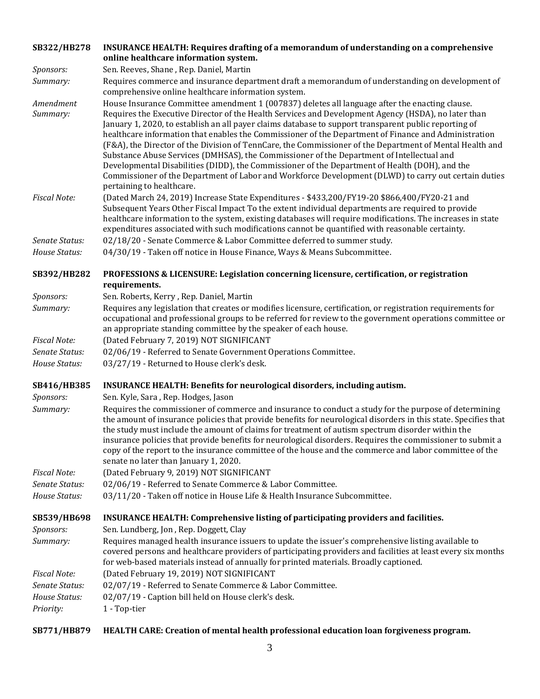| SB322/HB278                     | <b>INSURANCE HEALTH: Requires drafting of a memorandum of understanding on a comprehensive</b><br>online healthcare information system.                                                                                                                                                                                                                                                                                                                                                                                                                                                                                                                                                                                                                                                                                                                                |
|---------------------------------|------------------------------------------------------------------------------------------------------------------------------------------------------------------------------------------------------------------------------------------------------------------------------------------------------------------------------------------------------------------------------------------------------------------------------------------------------------------------------------------------------------------------------------------------------------------------------------------------------------------------------------------------------------------------------------------------------------------------------------------------------------------------------------------------------------------------------------------------------------------------|
| Sponsors:                       | Sen. Reeves, Shane, Rep. Daniel, Martin                                                                                                                                                                                                                                                                                                                                                                                                                                                                                                                                                                                                                                                                                                                                                                                                                                |
| Summary:                        | Requires commerce and insurance department draft a memorandum of understanding on development of<br>comprehensive online healthcare information system.                                                                                                                                                                                                                                                                                                                                                                                                                                                                                                                                                                                                                                                                                                                |
| Amendment<br>Summary:           | House Insurance Committee amendment 1 (007837) deletes all language after the enacting clause.<br>Requires the Executive Director of the Health Services and Development Agency (HSDA), no later than<br>January 1, 2020, to establish an all payer claims database to support transparent public reporting of<br>healthcare information that enables the Commissioner of the Department of Finance and Administration<br>(F&A), the Director of the Division of TennCare, the Commissioner of the Department of Mental Health and<br>Substance Abuse Services (DMHSAS), the Commissioner of the Department of Intellectual and<br>Developmental Disabilities (DIDD), the Commissioner of the Department of Health (DOH), and the<br>Commissioner of the Department of Labor and Workforce Development (DLWD) to carry out certain duties<br>pertaining to healthcare. |
| <b>Fiscal Note:</b>             | (Dated March 24, 2019) Increase State Expenditures - \$433,200/FY19-20 \$866,400/FY20-21 and<br>Subsequent Years Other Fiscal Impact To the extent individual departments are required to provide<br>healthcare information to the system, existing databases will require modifications. The increases in state<br>expenditures associated with such modifications cannot be quantified with reasonable certainty.                                                                                                                                                                                                                                                                                                                                                                                                                                                    |
| Senate Status:<br>House Status: | 02/18/20 - Senate Commerce & Labor Committee deferred to summer study.<br>04/30/19 - Taken off notice in House Finance, Ways & Means Subcommittee.                                                                                                                                                                                                                                                                                                                                                                                                                                                                                                                                                                                                                                                                                                                     |
| SB392/HB282                     | PROFESSIONS & LICENSURE: Legislation concerning licensure, certification, or registration<br>requirements.                                                                                                                                                                                                                                                                                                                                                                                                                                                                                                                                                                                                                                                                                                                                                             |
| Sponsors:                       | Sen. Roberts, Kerry, Rep. Daniel, Martin                                                                                                                                                                                                                                                                                                                                                                                                                                                                                                                                                                                                                                                                                                                                                                                                                               |
| Summary:<br><b>Fiscal Note:</b> | Requires any legislation that creates or modifies licensure, certification, or registration requirements for<br>occupational and professional groups to be referred for review to the government operations committee or<br>an appropriate standing committee by the speaker of each house.                                                                                                                                                                                                                                                                                                                                                                                                                                                                                                                                                                            |
| Senate Status:                  | (Dated February 7, 2019) NOT SIGNIFICANT<br>02/06/19 - Referred to Senate Government Operations Committee.                                                                                                                                                                                                                                                                                                                                                                                                                                                                                                                                                                                                                                                                                                                                                             |
| House Status:                   | 03/27/19 - Returned to House clerk's desk.                                                                                                                                                                                                                                                                                                                                                                                                                                                                                                                                                                                                                                                                                                                                                                                                                             |
| SB416/HB385<br>Sponsors:        | <b>INSURANCE HEALTH: Benefits for neurological disorders, including autism.</b><br>Sen. Kyle, Sara, Rep. Hodges, Jason                                                                                                                                                                                                                                                                                                                                                                                                                                                                                                                                                                                                                                                                                                                                                 |
| Summary:                        | Requires the commissioner of commerce and insurance to conduct a study for the purpose of determining<br>the amount of insurance policies that provide benefits for neurological disorders in this state. Specifies that<br>the study must include the amount of claims for treatment of autism spectrum disorder within the<br>insurance policies that provide benefits for neurological disorders. Requires the commissioner to submit a<br>copy of the report to the insurance committee of the house and the commerce and labor committee of the<br>senate no later than January 1, 2020.                                                                                                                                                                                                                                                                          |
| <b>Fiscal Note:</b>             | (Dated February 9, 2019) NOT SIGNIFICANT                                                                                                                                                                                                                                                                                                                                                                                                                                                                                                                                                                                                                                                                                                                                                                                                                               |
| Senate Status:                  | 02/06/19 - Referred to Senate Commerce & Labor Committee.                                                                                                                                                                                                                                                                                                                                                                                                                                                                                                                                                                                                                                                                                                                                                                                                              |
| House Status:                   | 03/11/20 - Taken off notice in House Life & Health Insurance Subcommittee.                                                                                                                                                                                                                                                                                                                                                                                                                                                                                                                                                                                                                                                                                                                                                                                             |
| SB539/HB698                     | INSURANCE HEALTH: Comprehensive listing of participating providers and facilities.                                                                                                                                                                                                                                                                                                                                                                                                                                                                                                                                                                                                                                                                                                                                                                                     |
| Sponsors:<br>Summary:           | Sen. Lundberg, Jon, Rep. Doggett, Clay<br>Requires managed health insurance issuers to update the issuer's comprehensive listing available to<br>covered persons and healthcare providers of participating providers and facilities at least every six months<br>for web-based materials instead of annually for printed materials. Broadly captioned.                                                                                                                                                                                                                                                                                                                                                                                                                                                                                                                 |
| <b>Fiscal Note:</b>             | (Dated February 19, 2019) NOT SIGNIFICANT                                                                                                                                                                                                                                                                                                                                                                                                                                                                                                                                                                                                                                                                                                                                                                                                                              |
| Senate Status:                  | 02/07/19 - Referred to Senate Commerce & Labor Committee.                                                                                                                                                                                                                                                                                                                                                                                                                                                                                                                                                                                                                                                                                                                                                                                                              |
| House Status:<br>Priority:      | 02/07/19 - Caption bill held on House clerk's desk.<br>1 - Top-tier                                                                                                                                                                                                                                                                                                                                                                                                                                                                                                                                                                                                                                                                                                                                                                                                    |

# **[SB771/HB879 HEALTH CARE: Creation of mental health professional education loan forgiveness program.](https://tls.mleesmith.com/2019-2020/pdf/SB0771.pdf)**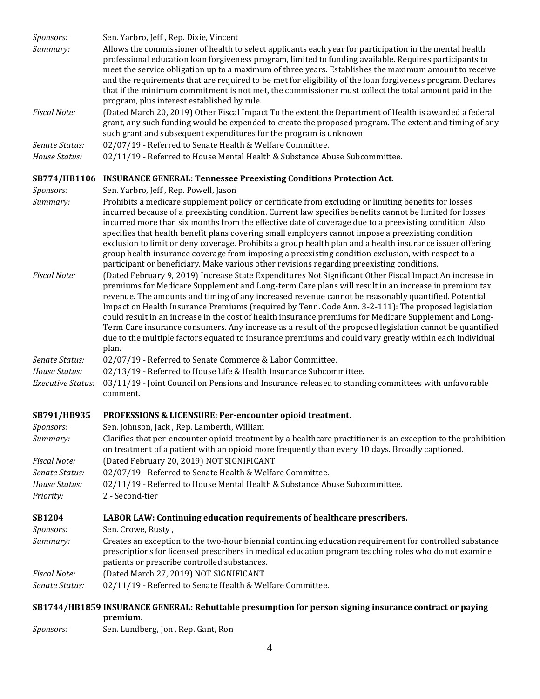| Sponsors:                | Sen. Yarbro, Jeff, Rep. Dixie, Vincent                                                                                                                                                                                                                                                                                      |
|--------------------------|-----------------------------------------------------------------------------------------------------------------------------------------------------------------------------------------------------------------------------------------------------------------------------------------------------------------------------|
| Summary:                 | Allows the commissioner of health to select applicants each year for participation in the mental health<br>professional education loan forgiveness program, limited to funding available. Requires participants to<br>meet the service obligation up to a maximum of three years. Establishes the maximum amount to receive |
|                          | and the requirements that are required to be met for eligibility of the loan forgiveness program. Declares<br>that if the minimum commitment is not met, the commissioner must collect the total amount paid in the<br>program, plus interest established by rule.                                                          |
| <b>Fiscal Note:</b>      | (Dated March 20, 2019) Other Fiscal Impact To the extent the Department of Health is awarded a federal<br>grant, any such funding would be expended to create the proposed program. The extent and timing of any<br>such grant and subsequent expenditures for the program is unknown.                                      |
| Senate Status:           | 02/07/19 - Referred to Senate Health & Welfare Committee.                                                                                                                                                                                                                                                                   |
| House Status:            | 02/11/19 - Referred to House Mental Health & Substance Abuse Subcommittee.                                                                                                                                                                                                                                                  |
|                          | SB774/HB1106 INSURANCE GENERAL: Tennessee Preexisting Conditions Protection Act.                                                                                                                                                                                                                                            |
| Sponsors:                | Sen. Yarbro, Jeff, Rep. Powell, Jason                                                                                                                                                                                                                                                                                       |
| Summary:                 | Prohibits a medicare supplement policy or certificate from excluding or limiting benefits for losses                                                                                                                                                                                                                        |
|                          | incurred because of a preexisting condition. Current law specifies benefits cannot be limited for losses                                                                                                                                                                                                                    |
|                          | incurred more than six months from the effective date of coverage due to a preexisting condition. Also                                                                                                                                                                                                                      |
|                          | specifies that health benefit plans covering small employers cannot impose a preexisting condition                                                                                                                                                                                                                          |
|                          | exclusion to limit or deny coverage. Prohibits a group health plan and a health insurance issuer offering                                                                                                                                                                                                                   |
|                          | group health insurance coverage from imposing a preexisting condition exclusion, with respect to a                                                                                                                                                                                                                          |
|                          | participant or beneficiary. Make various other revisions regarding preexisting conditions.                                                                                                                                                                                                                                  |
| <b>Fiscal Note:</b>      | (Dated February 9, 2019) Increase State Expenditures Not Significant Other Fiscal Impact An increase in                                                                                                                                                                                                                     |
|                          | premiums for Medicare Supplement and Long-term Care plans will result in an increase in premium tax<br>revenue. The amounts and timing of any increased revenue cannot be reasonably quantified. Potential                                                                                                                  |
|                          | Impact on Health Insurance Premiums (required by Tenn. Code Ann. 3-2-111): The proposed legislation                                                                                                                                                                                                                         |
|                          | could result in an increase in the cost of health insurance premiums for Medicare Supplement and Long-                                                                                                                                                                                                                      |
|                          | Term Care insurance consumers. Any increase as a result of the proposed legislation cannot be quantified                                                                                                                                                                                                                    |
|                          | due to the multiple factors equated to insurance premiums and could vary greatly within each individual                                                                                                                                                                                                                     |
|                          | plan.                                                                                                                                                                                                                                                                                                                       |
| Senate Status:           | 02/07/19 - Referred to Senate Commerce & Labor Committee.                                                                                                                                                                                                                                                                   |
| House Status:            | 02/13/19 - Referred to House Life & Health Insurance Subcommittee.                                                                                                                                                                                                                                                          |
| <b>Executive Status:</b> | 03/11/19 - Joint Council on Pensions and Insurance released to standing committees with unfavorable<br>comment.                                                                                                                                                                                                             |
| SB791/HB935              | PROFESSIONS & LICENSURE: Per-encounter opioid treatment.                                                                                                                                                                                                                                                                    |
| <i>Sponsors:</i>         | Sen. Johnson, Jack, Rep. Lamberth, William                                                                                                                                                                                                                                                                                  |
| Summary:                 | Clarifies that per-encounter opioid treatment by a healthcare practitioner is an exception to the prohibition                                                                                                                                                                                                               |
|                          | on treatment of a patient with an opioid more frequently than every 10 days. Broadly captioned.                                                                                                                                                                                                                             |
| <b>Fiscal Note:</b>      | (Dated February 20, 2019) NOT SIGNIFICANT                                                                                                                                                                                                                                                                                   |
| Senate Status:           | 02/07/19 - Referred to Senate Health & Welfare Committee.                                                                                                                                                                                                                                                                   |
| House Status:            | 02/11/19 - Referred to House Mental Health & Substance Abuse Subcommittee.                                                                                                                                                                                                                                                  |
| Priority:                | 2 - Second-tier                                                                                                                                                                                                                                                                                                             |
| <b>SB1204</b>            | LABOR LAW: Continuing education requirements of healthcare prescribers.                                                                                                                                                                                                                                                     |
| Sponsors:                | Sen. Crowe, Rusty,                                                                                                                                                                                                                                                                                                          |
| Summary:                 | Creates an exception to the two-hour biennial continuing education requirement for controlled substance                                                                                                                                                                                                                     |
|                          | prescriptions for licensed prescribers in medical education program teaching roles who do not examine                                                                                                                                                                                                                       |
|                          | patients or prescribe controlled substances.                                                                                                                                                                                                                                                                                |
| <b>Fiscal Note:</b>      | (Dated March 27, 2019) NOT SIGNIFICANT                                                                                                                                                                                                                                                                                      |
| Senate Status:           | 02/11/19 - Referred to Senate Health & Welfare Committee.                                                                                                                                                                                                                                                                   |
|                          | SB1744/HB1859 INSURANCE GENERAL: Rebuttable presumption for person signing insurance contract or paying                                                                                                                                                                                                                     |
|                          | premium.                                                                                                                                                                                                                                                                                                                    |

*Sponsors:* Sen. Lundberg, Jon , Rep. Gant, Ron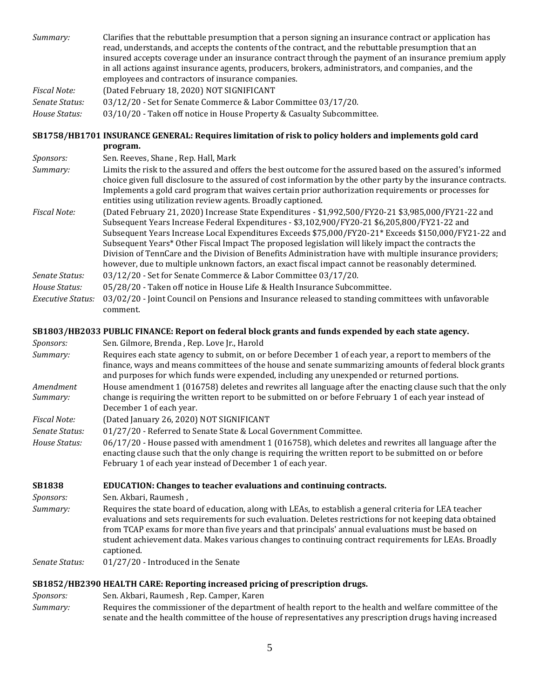| Summary:                 | Clarifies that the rebuttable presumption that a person signing an insurance contract or application has<br>read, understands, and accepts the contents of the contract, and the rebuttable presumption that an<br>insured accepts coverage under an insurance contract through the payment of an insurance premium apply<br>in all actions against insurance agents, producers, brokers, administrators, and companies, and the<br>employees and contractors of insurance companies.                                                                                                                                               |
|--------------------------|-------------------------------------------------------------------------------------------------------------------------------------------------------------------------------------------------------------------------------------------------------------------------------------------------------------------------------------------------------------------------------------------------------------------------------------------------------------------------------------------------------------------------------------------------------------------------------------------------------------------------------------|
| <b>Fiscal Note:</b>      | (Dated February 18, 2020) NOT SIGNIFICANT                                                                                                                                                                                                                                                                                                                                                                                                                                                                                                                                                                                           |
| Senate Status:           | 03/12/20 - Set for Senate Commerce & Labor Committee 03/17/20.                                                                                                                                                                                                                                                                                                                                                                                                                                                                                                                                                                      |
| House Status:            | 03/10/20 - Taken off notice in House Property & Casualty Subcommittee.                                                                                                                                                                                                                                                                                                                                                                                                                                                                                                                                                              |
|                          |                                                                                                                                                                                                                                                                                                                                                                                                                                                                                                                                                                                                                                     |
|                          | SB1758/HB1701 INSURANCE GENERAL: Requires limitation of risk to policy holders and implements gold card<br>program.                                                                                                                                                                                                                                                                                                                                                                                                                                                                                                                 |
| Sponsors:                | Sen. Reeves, Shane, Rep. Hall, Mark                                                                                                                                                                                                                                                                                                                                                                                                                                                                                                                                                                                                 |
| Summary:                 | Limits the risk to the assured and offers the best outcome for the assured based on the assured's informed<br>choice given full disclosure to the assured of cost information by the other party by the insurance contracts.<br>Implements a gold card program that waives certain prior authorization requirements or processes for<br>entities using utilization review agents. Broadly captioned.                                                                                                                                                                                                                                |
| <b>Fiscal Note:</b>      | (Dated February 21, 2020) Increase State Expenditures - \$1,992,500/FY20-21 \$3,985,000/FY21-22 and<br>Subsequent Years Increase Federal Expenditures - \$3,102,900/FY20-21 \$6,205,800/FY21-22 and<br>Subsequent Years Increase Local Expenditures Exceeds \$75,000/FY20-21* Exceeds \$150,000/FY21-22 and<br>Subsequent Years* Other Fiscal Impact The proposed legislation will likely impact the contracts the<br>Division of TennCare and the Division of Benefits Administration have with multiple insurance providers;<br>however, due to multiple unknown factors, an exact fiscal impact cannot be reasonably determined. |
| Senate Status:           | 03/12/20 - Set for Senate Commerce & Labor Committee 03/17/20.                                                                                                                                                                                                                                                                                                                                                                                                                                                                                                                                                                      |
| House Status:            | 05/28/20 - Taken off notice in House Life & Health Insurance Subcommittee.                                                                                                                                                                                                                                                                                                                                                                                                                                                                                                                                                          |
| <b>Executive Status:</b> | 03/02/20 - Joint Council on Pensions and Insurance released to standing committees with unfavorable<br>comment.                                                                                                                                                                                                                                                                                                                                                                                                                                                                                                                     |
|                          |                                                                                                                                                                                                                                                                                                                                                                                                                                                                                                                                                                                                                                     |
|                          |                                                                                                                                                                                                                                                                                                                                                                                                                                                                                                                                                                                                                                     |
|                          | SB1803/HB2033 PUBLIC FINANCE: Report on federal block grants and funds expended by each state agency.                                                                                                                                                                                                                                                                                                                                                                                                                                                                                                                               |
| Sponsors:<br>Summary:    | Sen. Gilmore, Brenda, Rep. Love Jr., Harold                                                                                                                                                                                                                                                                                                                                                                                                                                                                                                                                                                                         |
|                          | Requires each state agency to submit, on or before December 1 of each year, a report to members of the<br>finance, ways and means committees of the house and senate summarizing amounts of federal block grants<br>and purposes for which funds were expended, including any unexpended or returned portions.                                                                                                                                                                                                                                                                                                                      |
| Amendment<br>Summary:    | House amendment 1 (016758) deletes and rewrites all language after the enacting clause such that the only<br>change is requiring the written report to be submitted on or before February 1 of each year instead of                                                                                                                                                                                                                                                                                                                                                                                                                 |
| <b>Fiscal Note:</b>      | December 1 of each year.                                                                                                                                                                                                                                                                                                                                                                                                                                                                                                                                                                                                            |
| Senate Status:           | (Dated January 26, 2020) NOT SIGNIFICANT<br>01/27/20 - Referred to Senate State & Local Government Committee.                                                                                                                                                                                                                                                                                                                                                                                                                                                                                                                       |
| House Status:            | 06/17/20 - House passed with amendment 1 (016758), which deletes and rewrites all language after the<br>enacting clause such that the only change is requiring the written report to be submitted on or before<br>February 1 of each year instead of December 1 of each year.                                                                                                                                                                                                                                                                                                                                                       |
|                          |                                                                                                                                                                                                                                                                                                                                                                                                                                                                                                                                                                                                                                     |
| <b>SB1838</b>            | EDUCATION: Changes to teacher evaluations and continuing contracts.<br>Sen. Akbari, Raumesh,                                                                                                                                                                                                                                                                                                                                                                                                                                                                                                                                        |
| Sponsors:<br>Summary:    | Requires the state board of education, along with LEAs, to establish a general criteria for LEA teacher<br>evaluations and sets requirements for such evaluation. Deletes restrictions for not keeping data obtained<br>from TCAP exams for more than five years and that principals' annual evaluations must be based on<br>student achievement data. Makes various changes to continuing contract requirements for LEAs. Broadly<br>captioned.                                                                                                                                                                                    |
| Senate Status:           | 01/27/20 - Introduced in the Senate                                                                                                                                                                                                                                                                                                                                                                                                                                                                                                                                                                                                 |
|                          |                                                                                                                                                                                                                                                                                                                                                                                                                                                                                                                                                                                                                                     |
| Sponsors:                | SB1852/HB2390 HEALTH CARE: Reporting increased pricing of prescription drugs.<br>Sen. Akbari, Raumesh, Rep. Camper, Karen                                                                                                                                                                                                                                                                                                                                                                                                                                                                                                           |

5

senate and the health committee of the house of representatives any prescription drugs having increased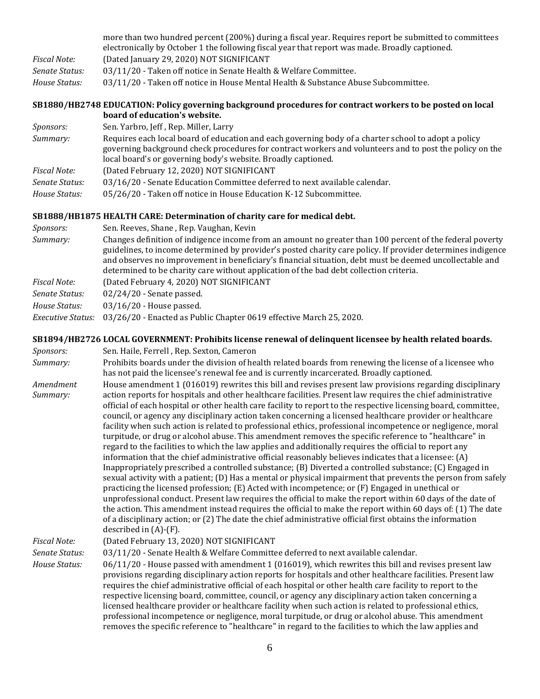|                | more than two hundred percent (200%) during a fiscal year. Requires report be submitted to committees<br>electronically by October 1 the following fiscal year that report was made. Broadly captioned. |
|----------------|---------------------------------------------------------------------------------------------------------------------------------------------------------------------------------------------------------|
| Fiscal Note:   | (Dated January 29, 2020) NOT SIGNIFICANT                                                                                                                                                                |
| Senate Status: | 03/11/20 - Taken off notice in Senate Health & Welfare Committee.                                                                                                                                       |
| House Status:  | 03/11/20 - Taken off notice in House Mental Health & Substance Abuse Subcommittee.                                                                                                                      |
|                |                                                                                                                                                                                                         |

#### **[SB1880/HB2748 EDUCATION: Policy governing background procedures for contract workers to be posted on local](https://tls.mleesmith.com/2019-2020/pdf/SB1880.pdf)  [board of education's website.](https://tls.mleesmith.com/2019-2020/pdf/SB1880.pdf)**

| <i>Sponsors:</i> | Sen. Yarbro, Jeff, Rep. Miller, Larry                                                                                                                                                                                                                                            |
|------------------|----------------------------------------------------------------------------------------------------------------------------------------------------------------------------------------------------------------------------------------------------------------------------------|
| Summary:         | Requires each local board of education and each governing body of a charter school to adopt a policy<br>governing background check procedures for contract workers and volunteers and to post the policy on the<br>local board's or governing body's website. Broadly captioned. |
| Fiscal Note:     | (Dated February 12, 2020) NOT SIGNIFICANT                                                                                                                                                                                                                                        |
| Senate Status:   | 03/16/20 - Senate Education Committee deferred to next available calendar.                                                                                                                                                                                                       |
| House Status:    | 05/26/20 - Taken off notice in House Education K-12 Subcommittee.                                                                                                                                                                                                                |

## **[SB1888/HB1875 HEALTH CARE: Determination of charity care for medical debt.](https://tls.mleesmith.com/2019-2020/pdf/SB1888.pdf)**

| <i>Sponsors:</i>         | Sen. Reeves, Shane, Rep. Vaughan, Kevin                                                                                                                                                                                                                                                                                                                                                                                      |
|--------------------------|------------------------------------------------------------------------------------------------------------------------------------------------------------------------------------------------------------------------------------------------------------------------------------------------------------------------------------------------------------------------------------------------------------------------------|
| Summary:                 | Changes definition of indigence income from an amount no greater than 100 percent of the federal poverty<br>guidelines, to income determined by provider's posted charity care policy. If provider determines indigence<br>and observes no improvement in beneficiary's financial situation, debt must be deemed uncollectable and<br>determined to be charity care without application of the bad debt collection criteria. |
| <b>Fiscal Note:</b>      | (Dated February 4, 2020) NOT SIGNIFICANT                                                                                                                                                                                                                                                                                                                                                                                     |
| Senate Status:           | $02/24/20$ - Senate passed.                                                                                                                                                                                                                                                                                                                                                                                                  |
| House Status:            | 03/16/20 - House passed.                                                                                                                                                                                                                                                                                                                                                                                                     |
| <b>Executive Status:</b> | 03/26/20 - Enacted as Public Chapter 0619 effective March 25, 2020.                                                                                                                                                                                                                                                                                                                                                          |

## **[SB1894/HB2726 LOCAL GOVERNMENT: Prohibits license renewal of delinquent licensee by health related boards.](https://tls.mleesmith.com/2019-2020/pdf/SB1894.pdf)**

| Sponsors:             | Sen. Haile, Ferrell, Rep. Sexton, Cameron                                                                                                                                                                                                                                                                                                                                                                                                                                                                                                                                                                                                                                                                                                                                                                                                                                                                                                                                                                                                                                                                                                                                                                                                                                                                                                                                                                                                                                                                                                                                                                   |
|-----------------------|-------------------------------------------------------------------------------------------------------------------------------------------------------------------------------------------------------------------------------------------------------------------------------------------------------------------------------------------------------------------------------------------------------------------------------------------------------------------------------------------------------------------------------------------------------------------------------------------------------------------------------------------------------------------------------------------------------------------------------------------------------------------------------------------------------------------------------------------------------------------------------------------------------------------------------------------------------------------------------------------------------------------------------------------------------------------------------------------------------------------------------------------------------------------------------------------------------------------------------------------------------------------------------------------------------------------------------------------------------------------------------------------------------------------------------------------------------------------------------------------------------------------------------------------------------------------------------------------------------------|
| Summary:              | Prohibits boards under the division of health related boards from renewing the license of a licensee who                                                                                                                                                                                                                                                                                                                                                                                                                                                                                                                                                                                                                                                                                                                                                                                                                                                                                                                                                                                                                                                                                                                                                                                                                                                                                                                                                                                                                                                                                                    |
|                       | has not paid the licensee's renewal fee and is currently incarcerated. Broadly captioned.                                                                                                                                                                                                                                                                                                                                                                                                                                                                                                                                                                                                                                                                                                                                                                                                                                                                                                                                                                                                                                                                                                                                                                                                                                                                                                                                                                                                                                                                                                                   |
| Amendment<br>Summary: | House amendment 1 (016019) rewrites this bill and revises present law provisions regarding disciplinary<br>action reports for hospitals and other healthcare facilities. Present law requires the chief administrative<br>official of each hospital or other health care facility to report to the respective licensing board, committee,<br>council, or agency any disciplinary action taken concerning a licensed healthcare provider or healthcare<br>facility when such action is related to professional ethics, professional incompetence or negligence, moral<br>turpitude, or drug or alcohol abuse. This amendment removes the specific reference to "healthcare" in<br>regard to the facilities to which the law applies and additionally requires the official to report any<br>information that the chief administrative official reasonably believes indicates that a licensee: (A)<br>Inappropriately prescribed a controlled substance; (B) Diverted a controlled substance; (C) Engaged in<br>sexual activity with a patient; (D) Has a mental or physical impairment that prevents the person from safely<br>practicing the licensed profession; $(E)$ Acted with incompetence; or $(F)$ Engaged in unethical or<br>unprofessional conduct. Present law requires the official to make the report within 60 days of the date of<br>the action. This amendment instead requires the official to make the report within 60 days of: (1) The date<br>of a disciplinary action; or (2) The date the chief administrative official first obtains the information<br>described in $(A)$ - $(F)$ . |
| <b>Fiscal Note:</b>   | (Dated February 13, 2020) NOT SIGNIFICANT                                                                                                                                                                                                                                                                                                                                                                                                                                                                                                                                                                                                                                                                                                                                                                                                                                                                                                                                                                                                                                                                                                                                                                                                                                                                                                                                                                                                                                                                                                                                                                   |
| Senate Status:        | 03/11/20 - Senate Health & Welfare Committee deferred to next available calendar.                                                                                                                                                                                                                                                                                                                                                                                                                                                                                                                                                                                                                                                                                                                                                                                                                                                                                                                                                                                                                                                                                                                                                                                                                                                                                                                                                                                                                                                                                                                           |
| House Status:         | 06/11/20 - House passed with amendment 1 (016019), which rewrites this bill and revises present law<br>provisions regarding disciplinary action reports for hospitals and other healthcare facilities. Present law<br>requires the chief administrative official of each hospital or other health care facility to report to the<br>respective licensing board, committee, council, or agency any disciplinary action taken concerning a<br>licensed healthcare provider or healthcare facility when such action is related to professional ethics,<br>professional incompetence or negligence, moral turpitude, or drug or alcohol abuse. This amendment<br>removes the specific reference to "healthcare" in regard to the facilities to which the law applies and                                                                                                                                                                                                                                                                                                                                                                                                                                                                                                                                                                                                                                                                                                                                                                                                                                        |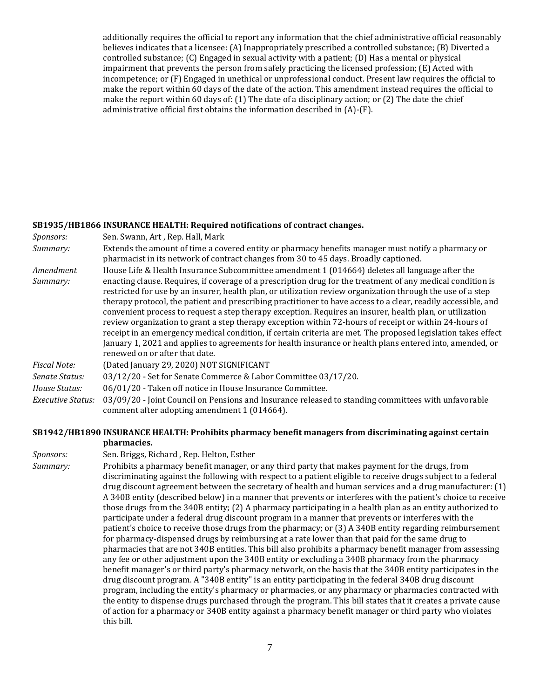additionally requires the official to report any information that the chief administrative official reasonably believes indicates that a licensee: (A) Inappropriately prescribed a controlled substance; (B) Diverted a controlled substance; (C) Engaged in sexual activity with a patient; (D) Has a mental or physical impairment that prevents the person from safely practicing the licensed profession; (E) Acted with incompetence; or (F) Engaged in unethical or unprofessional conduct. Present law requires the official to make the report within 60 days of the date of the action. This amendment instead requires the official to make the report within 60 days of: (1) The date of a disciplinary action; or (2) The date the chief administrative official first obtains the information described in (A)-(F).

## **[SB1935/HB1866 INSURANCE HEALTH: Required notifications of contract changes.](https://tls.mleesmith.com/2019-2020/pdf/SB1935.pdf)**

| Sponsors:             | Sen. Swann, Art, Rep. Hall, Mark                                                                                                                                                                                                                                                                                                                                                                                                                                                                                                                                                                                                                                                                                                                                                                                                                                                                                                   |
|-----------------------|------------------------------------------------------------------------------------------------------------------------------------------------------------------------------------------------------------------------------------------------------------------------------------------------------------------------------------------------------------------------------------------------------------------------------------------------------------------------------------------------------------------------------------------------------------------------------------------------------------------------------------------------------------------------------------------------------------------------------------------------------------------------------------------------------------------------------------------------------------------------------------------------------------------------------------|
| Summary:              | Extends the amount of time a covered entity or pharmacy benefits manager must notify a pharmacy or<br>pharmacist in its network of contract changes from 30 to 45 days. Broadly captioned.                                                                                                                                                                                                                                                                                                                                                                                                                                                                                                                                                                                                                                                                                                                                         |
| Amendment<br>Summary: | House Life & Health Insurance Subcommittee amendment 1 (014664) deletes all language after the<br>enacting clause. Requires, if coverage of a prescription drug for the treatment of any medical condition is<br>restricted for use by an insurer, health plan, or utilization review organization through the use of a step<br>therapy protocol, the patient and prescribing practitioner to have access to a clear, readily accessible, and<br>convenient process to request a step therapy exception. Requires an insurer, health plan, or utilization<br>review organization to grant a step therapy exception within 72-hours of receipt or within 24-hours of<br>receipt in an emergency medical condition, if certain criteria are met. The proposed legislation takes effect<br>January 1, 2021 and applies to agreements for health insurance or health plans entered into, amended, or<br>renewed on or after that date. |
| <b>Fiscal Note:</b>   | (Dated January 29, 2020) NOT SIGNIFICANT                                                                                                                                                                                                                                                                                                                                                                                                                                                                                                                                                                                                                                                                                                                                                                                                                                                                                           |
| Senate Status:        | 03/12/20 - Set for Senate Commerce & Labor Committee 03/17/20.                                                                                                                                                                                                                                                                                                                                                                                                                                                                                                                                                                                                                                                                                                                                                                                                                                                                     |
| House Status:         | 06/01/20 - Taken off notice in House Insurance Committee.                                                                                                                                                                                                                                                                                                                                                                                                                                                                                                                                                                                                                                                                                                                                                                                                                                                                          |
| Executive Status:     | 03/09/20 - Joint Council on Pensions and Insurance released to standing committees with unfavorable<br>comment after adopting amendment 1 (014664).                                                                                                                                                                                                                                                                                                                                                                                                                                                                                                                                                                                                                                                                                                                                                                                |

## **[SB1942/HB1890 INSURANCE HEALTH: Prohibits pharmacy benefit managers from discriminating against certain](https://tls.mleesmith.com/2019-2020/pdf/SB1942.pdf)  [pharmacies.](https://tls.mleesmith.com/2019-2020/pdf/SB1942.pdf)**

| Sponsors: | Sen. Briggs, Richard, Rep. Helton, Esther                                                                                                                                                                                                                                                                                                                                                                                                                                                                                                                                                                                                                                                                                                                                                                                                                                                                                                                                                                                                                                                                                                                                                                                                                                                                          |
|-----------|--------------------------------------------------------------------------------------------------------------------------------------------------------------------------------------------------------------------------------------------------------------------------------------------------------------------------------------------------------------------------------------------------------------------------------------------------------------------------------------------------------------------------------------------------------------------------------------------------------------------------------------------------------------------------------------------------------------------------------------------------------------------------------------------------------------------------------------------------------------------------------------------------------------------------------------------------------------------------------------------------------------------------------------------------------------------------------------------------------------------------------------------------------------------------------------------------------------------------------------------------------------------------------------------------------------------|
| Summary:  | Prohibits a pharmacy benefit manager, or any third party that makes payment for the drugs, from<br>discriminating against the following with respect to a patient eligible to receive drugs subject to a federal<br>drug discount agreement between the secretary of health and human services and a drug manufacturer: (1)<br>A 340B entity (described below) in a manner that prevents or interferes with the patient's choice to receive<br>those drugs from the 340B entity; (2) A pharmacy participating in a health plan as an entity authorized to<br>participate under a federal drug discount program in a manner that prevents or interferes with the<br>patient's choice to receive those drugs from the pharmacy; or (3) A 340B entity regarding reimbursement<br>for pharmacy-dispensed drugs by reimbursing at a rate lower than that paid for the same drug to<br>pharmacies that are not 340B entities. This bill also prohibits a pharmacy benefit manager from assessing<br>any fee or other adjustment upon the 340B entity or excluding a 340B pharmacy from the pharmacy<br>benefit manager's or third party's pharmacy network, on the basis that the 340B entity participates in the<br>drug discount program. A "340B entity" is an entity participating in the federal 340B drug discount |
|           | program, including the entity's pharmacy or pharmacies, or any pharmacy or pharmacies contracted with<br>the entity to dispense drugs purchased through the program. This bill states that it creates a private cause<br>of action for a pharmacy or 340B entity against a pharmacy benefit manager or third party who violates<br>this bill.                                                                                                                                                                                                                                                                                                                                                                                                                                                                                                                                                                                                                                                                                                                                                                                                                                                                                                                                                                      |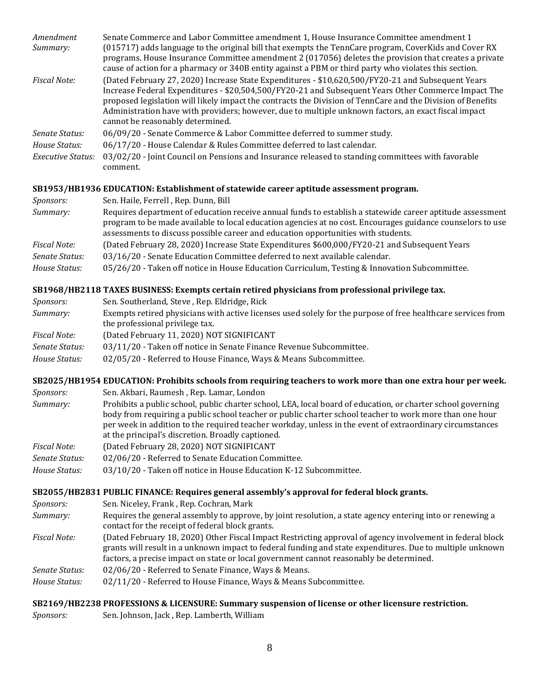| Amendment           | Senate Commerce and Labor Committee amendment 1, House Insurance Committee amendment 1                                                                                                                                                                                                                                                                                                                                                                              |
|---------------------|---------------------------------------------------------------------------------------------------------------------------------------------------------------------------------------------------------------------------------------------------------------------------------------------------------------------------------------------------------------------------------------------------------------------------------------------------------------------|
| Summary:            | (015717) adds language to the original bill that exempts the TennCare program, CoverKids and Cover RX                                                                                                                                                                                                                                                                                                                                                               |
|                     | programs. House Insurance Committee amendment 2 (017056) deletes the provision that creates a private<br>cause of action for a pharmacy or 340B entity against a PBM or third party who violates this section.                                                                                                                                                                                                                                                      |
| <b>Fiscal Note:</b> | (Dated February 27, 2020) Increase State Expenditures - \$10,620,500/FY20-21 and Subsequent Years<br>Increase Federal Expenditures - \$20,504,500/FY20-21 and Subsequent Years Other Commerce Impact The<br>proposed legislation will likely impact the contracts the Division of TennCare and the Division of Benefits<br>Administration have with providers; however, due to multiple unknown factors, an exact fiscal impact<br>cannot be reasonably determined. |
| Senate Status:      | 06/09/20 - Senate Commerce & Labor Committee deferred to summer study.                                                                                                                                                                                                                                                                                                                                                                                              |
| House Status:       | 06/17/20 - House Calendar & Rules Committee deferred to last calendar.                                                                                                                                                                                                                                                                                                                                                                                              |
| Executive Status:   | 03/02/20 - Joint Council on Pensions and Insurance released to standing committees with favorable<br>comment.                                                                                                                                                                                                                                                                                                                                                       |

### **[SB1953/HB1936 EDUCATION: Establishment of statewide career aptitude assessment program.](https://tls.mleesmith.com/2019-2020/pdf/SB1953.pdf)**

| <i>Sponsors:</i> | Sen. Haile, Ferrell, Rep. Dunn, Bill                                                                                                                                                                                                                                                                         |
|------------------|--------------------------------------------------------------------------------------------------------------------------------------------------------------------------------------------------------------------------------------------------------------------------------------------------------------|
| Summary:         | Requires department of education receive annual funds to establish a statewide career aptitude assessment<br>program to be made available to local education agencies at no cost. Encourages guidance counselors to use<br>assessments to discuss possible career and education opportunities with students. |
| Fiscal Note:     | (Dated February 28, 2020) Increase State Expenditures \$600,000/FY20-21 and Subsequent Years                                                                                                                                                                                                                 |
| Senate Status:   | 03/16/20 - Senate Education Committee deferred to next available calendar.                                                                                                                                                                                                                                   |
| House Status:    | 05/26/20 - Taken off notice in House Education Curriculum, Testing & Innovation Subcommittee.                                                                                                                                                                                                                |

### **[SB1968/HB2118 TAXES BUSINESS: Exempts certain retired physicians from professional privilege tax.](https://tls.mleesmith.com/2019-2020/pdf/SB1968.pdf)**

| <i>Sponsors:</i> | Sen. Southerland, Steve, Rep. Eldridge, Rick                                                                                                    |
|------------------|-------------------------------------------------------------------------------------------------------------------------------------------------|
| Summary:         | Exempts retired physicians with active licenses used solely for the purpose of free healthcare services from<br>the professional privilege tax. |
| Fiscal Note:     | (Dated February 11, 2020) NOT SIGNIFICANT                                                                                                       |
| Senate Status:   | 03/11/20 - Taken off notice in Senate Finance Revenue Subcommittee.                                                                             |
| House Status:    | 02/05/20 - Referred to House Finance, Ways & Means Subcommittee.                                                                                |

## **[SB2025/HB1954 EDUCATION: Prohibits schools from requiring teachers to work more than one extra hour per week.](https://tls.mleesmith.com/2019-2020/pdf/SB2025.pdf)**

| Sponsors:                                                                                                                                                                                                                                                                                                                                                                                            | Sen. Akbari, Raumesh, Rep. Lamar, London                                                                                                                                                                                                                                                                          |  |  |  |
|------------------------------------------------------------------------------------------------------------------------------------------------------------------------------------------------------------------------------------------------------------------------------------------------------------------------------------------------------------------------------------------------------|-------------------------------------------------------------------------------------------------------------------------------------------------------------------------------------------------------------------------------------------------------------------------------------------------------------------|--|--|--|
| Prohibits a public school, public charter school, LEA, local board of education, or charter school governing<br>Summary:<br>body from requiring a public school teacher or public charter school teacher to work more than one hour<br>per week in addition to the required teacher workday, unless in the event of extraordinary circumstances<br>at the principal's discretion. Broadly captioned. |                                                                                                                                                                                                                                                                                                                   |  |  |  |
| Fiscal Note:                                                                                                                                                                                                                                                                                                                                                                                         | (Dated February 28, 2020) NOT SIGNIFICANT                                                                                                                                                                                                                                                                         |  |  |  |
| Senate Status:                                                                                                                                                                                                                                                                                                                                                                                       | 02/06/20 - Referred to Senate Education Committee.                                                                                                                                                                                                                                                                |  |  |  |
| House Status:                                                                                                                                                                                                                                                                                                                                                                                        | 03/10/20 - Taken off notice in House Education K-12 Subcommittee.                                                                                                                                                                                                                                                 |  |  |  |
|                                                                                                                                                                                                                                                                                                                                                                                                      | SB2055/HB2831 PUBLIC FINANCE: Requires general assembly's approval for federal block grants.                                                                                                                                                                                                                      |  |  |  |
| Sponsors:                                                                                                                                                                                                                                                                                                                                                                                            | Sen. Niceley, Frank, Rep. Cochran, Mark                                                                                                                                                                                                                                                                           |  |  |  |
| Summary:                                                                                                                                                                                                                                                                                                                                                                                             | Requires the general assembly to approve, by joint resolution, a state agency entering into or renewing a<br>contact for the receipt of federal block grants.                                                                                                                                                     |  |  |  |
| Fiscal Note:                                                                                                                                                                                                                                                                                                                                                                                         | (Dated February 18, 2020) Other Fiscal Impact Restricting approval of agency involvement in federal block<br>grants will result in a unknown impact to federal funding and state expenditures. Due to multiple unknown<br>factors, a precise impact on state or local government cannot reasonably be determined. |  |  |  |

- *Senate Status:* 02/06/20 Referred to Senate Finance, Ways & Means.
- *House Status:* 02/11/20 Referred to House Finance, Ways & Means Subcommittee.

### **[SB2169/HB2238 PROFESSIONS & LICENSURE: Summary suspension of license or other licensure restriction.](https://tls.mleesmith.com/2019-2020/pdf/SB2169.pdf)**

*Sponsors:* Sen. Johnson, Jack , Rep. Lamberth, William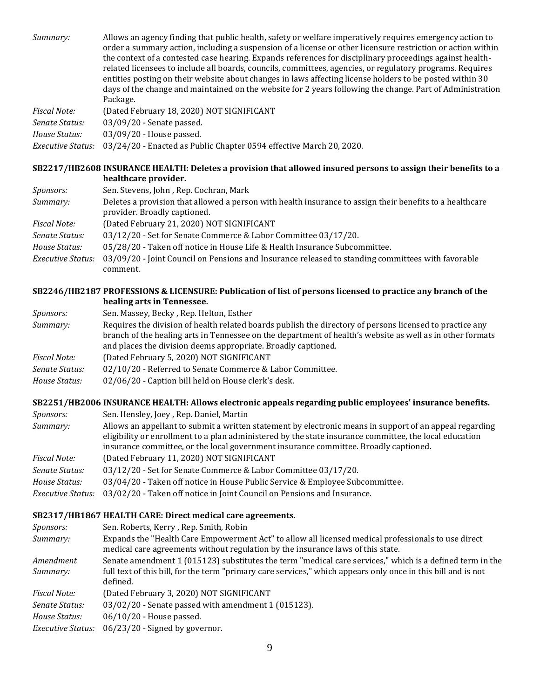*Summary:* Allows an agency finding that public health, safety or welfare imperatively requires emergency action to order a summary action, including a suspension of a license or other licensure restriction or action within the context of a contested case hearing. Expands references for disciplinary proceedings against healthrelated licensees to include all boards, councils, committees, agencies, or regulatory programs. Requires entities posting on their website about changes in laws affecting license holders to be posted within 30 days of the change and maintained on the website for 2 years following the change. Part of Administration Package. *Fiscal Note:* (Dated February 18, 2020) NOT SIGNIFICANT *Senate Status:* 03/09/20 - Senate passed.

*House Status:* 03/09/20 - House passed.

*Executive Status:* 03/24/20 - Enacted as Public Chapter 0594 effective March 20, 2020.

### **[SB2217/HB2608 INSURANCE HEALTH: Deletes a provision that allowed insured persons to assign their benefits to a](https://tls.mleesmith.com/2019-2020/pdf/SB2217.pdf)  [healthcare provider.](https://tls.mleesmith.com/2019-2020/pdf/SB2217.pdf)**

| Sponsors:                | Sen. Stevens, John, Rep. Cochran, Mark                                                                                                   |
|--------------------------|------------------------------------------------------------------------------------------------------------------------------------------|
| Summary:                 | Deletes a provision that allowed a person with health insurance to assign their benefits to a healthcare<br>provider. Broadly captioned. |
| <b>Fiscal Note:</b>      | (Dated February 21, 2020) NOT SIGNIFICANT                                                                                                |
| Senate Status:           | 03/12/20 - Set for Senate Commerce & Labor Committee 03/17/20.                                                                           |
| House Status:            | 05/28/20 - Taken off notice in House Life & Health Insurance Subcommittee.                                                               |
| <b>Executive Status:</b> | 03/09/20 - Joint Council on Pensions and Insurance released to standing committees with favorable<br>comment.                            |

### **[SB2246/HB2187 PROFESSIONS & LICENSURE: Publication of list of persons licensed to practice any branch of the](https://tls.mleesmith.com/2019-2020/pdf/SB2246.pdf)  [healing arts in Tennessee.](https://tls.mleesmith.com/2019-2020/pdf/SB2246.pdf)**

| <i>Sponsors:</i> | Sen. Massey, Becky, Rep. Helton, Esther                                                                                                                                                                                                                                                |
|------------------|----------------------------------------------------------------------------------------------------------------------------------------------------------------------------------------------------------------------------------------------------------------------------------------|
| Summary:         | Requires the division of health related boards publish the directory of persons licensed to practice any<br>branch of the healing arts in Tennessee on the department of health's website as well as in other formats<br>and places the division deems appropriate. Broadly captioned. |
| Fiscal Note:     | (Dated February 5, 2020) NOT SIGNIFICANT                                                                                                                                                                                                                                               |
| Senate Status:   | 02/10/20 - Referred to Senate Commerce & Labor Committee.                                                                                                                                                                                                                              |
| House Status:    | 02/06/20 - Caption bill held on House clerk's desk.                                                                                                                                                                                                                                    |

### **[SB2251/HB2006 INSURANCE HEALTH: Allows electronic appeals regarding public employees' insurance benefits.](https://tls.mleesmith.com/2019-2020/pdf/SB2251.pdf)**

| Allows an appellant to submit a written statement by electronic means in support of an appeal regarding |
|---------------------------------------------------------------------------------------------------------|
|                                                                                                         |
|                                                                                                         |
|                                                                                                         |
|                                                                                                         |
| eligibility or enrollment to a plan administered by the state insurance committee, the local education  |

## **[SB2317/HB1867 HEALTH CARE: Direct medical care agreements.](https://tls.mleesmith.com/2019-2020/pdf/SB2317.pdf)**

| Sponsors:                | Sen. Roberts, Kerry, Rep. Smith, Robin                                                                                                                                                 |
|--------------------------|----------------------------------------------------------------------------------------------------------------------------------------------------------------------------------------|
| Summary:                 | Expands the "Health Care Empowerment Act" to allow all licensed medical professionals to use direct<br>medical care agreements without regulation by the insurance laws of this state. |
| Amendment                | Senate amendment 1 (015123) substitutes the term "medical care services," which is a defined term in the                                                                               |
| Summary:                 | full text of this bill, for the term "primary care services," which appears only once in this bill and is not<br>defined.                                                              |
| Fiscal Note:             | (Dated February 3, 2020) NOT SIGNIFICANT                                                                                                                                               |
| Senate Status:           | 03/02/20 - Senate passed with amendment 1 (015123).                                                                                                                                    |
| House Status:            | $06/10/20$ - House passed.                                                                                                                                                             |
| <b>Executive Status:</b> | 06/23/20 - Signed by governor.                                                                                                                                                         |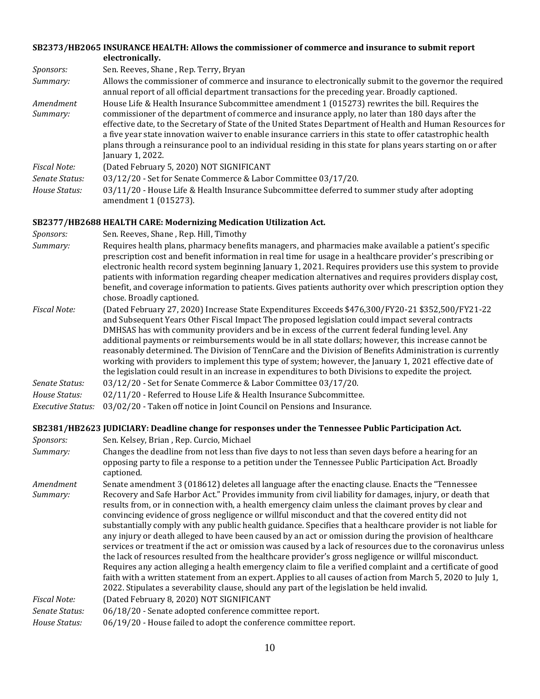#### **[SB2373/HB2065 INSURANCE HEALTH: Allows the commissioner of commerce and insurance to submit report](https://tls.mleesmith.com/2019-2020/pdf/SB2373.pdf)  [electronically.](https://tls.mleesmith.com/2019-2020/pdf/SB2373.pdf)**

| <i>Sponsors:</i> | Sen. Reeves, Shane, Rep. Terry, Bryan                                                                                                                                                                                                                                                                                                                                                                                                                               |
|------------------|---------------------------------------------------------------------------------------------------------------------------------------------------------------------------------------------------------------------------------------------------------------------------------------------------------------------------------------------------------------------------------------------------------------------------------------------------------------------|
| Summary:         | Allows the commissioner of commerce and insurance to electronically submit to the governor the required<br>annual report of all official department transactions for the preceding year. Broadly captioned.                                                                                                                                                                                                                                                         |
| Amendment        | House Life & Health Insurance Subcommittee amendment 1 (015273) rewrites the bill. Requires the                                                                                                                                                                                                                                                                                                                                                                     |
| Summary:         | commissioner of the department of commerce and insurance apply, no later than 180 days after the<br>effective date, to the Secretary of State of the United States Department of Health and Human Resources for<br>a five year state innovation waiver to enable insurance carriers in this state to offer catastrophic health<br>plans through a reinsurance pool to an individual residing in this state for plans years starting on or after<br>January 1, 2022. |
| Fiscal Note:     | (Dated February 5, 2020) NOT SIGNIFICANT                                                                                                                                                                                                                                                                                                                                                                                                                            |
| Senate Status:   | 03/12/20 - Set for Senate Commerce & Labor Committee 03/17/20.                                                                                                                                                                                                                                                                                                                                                                                                      |
| House Status:    | 03/11/20 - House Life & Health Insurance Subcommittee deferred to summer study after adopting<br>amendment 1 (015273).                                                                                                                                                                                                                                                                                                                                              |

#### **[SB2377/HB2688 HEALTH CARE: Modernizing Medication Utilization Act.](https://tls.mleesmith.com/2019-2020/pdf/SB2377.pdf)**

| <i>Sponsors:</i> |  |  |                                        |
|------------------|--|--|----------------------------------------|
|                  |  |  | Sen. Reeves, Shane, Rep. Hill, Timothy |

- *Summary:* Requires health plans, pharmacy benefits managers, and pharmacies make available a patient's specific prescription cost and benefit information in real time for usage in a healthcare provider's prescribing or electronic health record system beginning January 1, 2021. Requires providers use this system to provide patients with information regarding cheaper medication alternatives and requires providers display cost, benefit, and coverage information to patients. Gives patients authority over which prescription option they chose. Broadly captioned.
- *Fiscal Note:* (Dated February 27, 2020) Increase State Expenditures Exceeds \$476,300/FY20-21 \$352,500/FY21-22 and Subsequent Years Other Fiscal Impact The proposed legislation could impact several contracts DMHSAS has with community providers and be in excess of the current federal funding level. Any additional payments or reimbursements would be in all state dollars; however, this increase cannot be reasonably determined. The Division of TennCare and the Division of Benefits Administration is currently working with providers to implement this type of system; however, the January 1, 2021 effective date of the legislation could result in an increase in expenditures to both Divisions to expedite the project. *Senate Status:* 03/12/20 - Set for Senate Commerce & Labor Committee 03/17/20. *House Status:* 02/11/20 - Referred to House Life & Health Insurance Subcommittee.

*Executive Status:* 03/02/20 - Taken off notice in Joint Council on Pensions and Insurance.

#### **[SB2381/HB2623 JU](https://tls.mleesmith.com/2019-2020/pdf/SB2381.pdf)DICIARY: Deadline change for [responses under the Tennessee Public Participation Act.](https://tls.mleesmith.com/2019-2020/pdf/SB2381.pdf)**

| Changes the deadline from not less than five days to not less than seven days before a hearing for an<br>Summary:<br>opposing party to file a response to a petition under the Tennessee Public Participation Act. Broadly<br>captioned.                                                                                                                                                                                                                                                                                                                                                                                                                                                                                                                                                                                                                                                                                                                                                                                                                                                                               |
|------------------------------------------------------------------------------------------------------------------------------------------------------------------------------------------------------------------------------------------------------------------------------------------------------------------------------------------------------------------------------------------------------------------------------------------------------------------------------------------------------------------------------------------------------------------------------------------------------------------------------------------------------------------------------------------------------------------------------------------------------------------------------------------------------------------------------------------------------------------------------------------------------------------------------------------------------------------------------------------------------------------------------------------------------------------------------------------------------------------------|
| Senate amendment 3 (018612) deletes all language after the enacting clause. Enacts the "Tennessee<br>Amendment                                                                                                                                                                                                                                                                                                                                                                                                                                                                                                                                                                                                                                                                                                                                                                                                                                                                                                                                                                                                         |
| Recovery and Safe Harbor Act." Provides immunity from civil liability for damages, injury, or death that<br>Summary:<br>results from, or in connection with, a health emergency claim unless the claimant proves by clear and<br>convincing evidence of gross negligence or willful misconduct and that the covered entity did not<br>substantially comply with any public health guidance. Specifies that a healthcare provider is not liable for<br>any injury or death alleged to have been caused by an act or omission during the provision of healthcare<br>services or treatment if the act or omission was caused by a lack of resources due to the coronavirus unless<br>the lack of resources resulted from the healthcare provider's gross negligence or willful misconduct.<br>Requires any action alleging a health emergency claim to file a verified complaint and a certificate of good<br>faith with a written statement from an expert. Applies to all causes of action from March 5, 2020 to July 1,<br>2022. Stipulates a severability clause, should any part of the legislation be held invalid. |
| <b>Fiscal Note:</b><br>(Dated February 8, 2020) NOT SIGNIFICANT                                                                                                                                                                                                                                                                                                                                                                                                                                                                                                                                                                                                                                                                                                                                                                                                                                                                                                                                                                                                                                                        |
| 06/18/20 - Senate adopted conference committee report.<br>Senate Status:                                                                                                                                                                                                                                                                                                                                                                                                                                                                                                                                                                                                                                                                                                                                                                                                                                                                                                                                                                                                                                               |
| 06/19/20 - House failed to adopt the conference committee report.<br>House Status:                                                                                                                                                                                                                                                                                                                                                                                                                                                                                                                                                                                                                                                                                                                                                                                                                                                                                                                                                                                                                                     |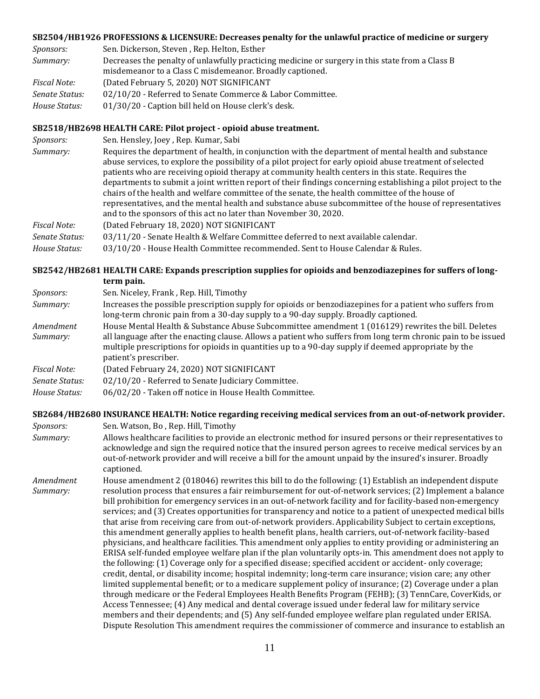#### **[SB2504/HB1926 PROFESSIONS & LICENSURE: Decreases penalty for the](https://tls.mleesmith.com/2019-2020/pdf/SB2504.pdf) unlawful practice of medicine or surgery**

| <i>Sponsors:</i>    | Sen. Dickerson, Steven, Rep. Helton, Esther                                                     |
|---------------------|-------------------------------------------------------------------------------------------------|
| Summary:            | Decreases the penalty of unlawfully practicing medicine or surgery in this state from a Class B |
|                     | misdemeanor to a Class C misdemeanor. Broadly captioned.                                        |
| <b>Fiscal Note:</b> | (Dated February 5, 2020) NOT SIGNIFICANT                                                        |
| Senate Status:      | 02/10/20 - Referred to Senate Commerce & Labor Committee.                                       |
| House Status:       | 01/30/20 - Caption bill held on House clerk's desk.                                             |

#### **[SB2518/HB2698 HEALTH CARE: Pilot project -](https://tls.mleesmith.com/2019-2020/pdf/SB2518.pdf) opioid abuse treatment.**

| Summary:<br>patients who are receiving opioid therapy at community health centers in this state. Requires the<br>chairs of the health and welfare committee of the senate, the health committee of the house of<br>representatives, and the mental health and substance abuse subcommittee of the house of representatives<br>and to the sponsors of this act no later than November 30, 2020.<br>(Dated February 18, 2020) NOT SIGNIFICANT<br>Fiscal Note:<br>03/11/20 - Senate Health & Welfare Committee deferred to next available calendar.<br>Senate Status: | Sponsors:     | Sen. Hensley, Joey, Rep. Kumar, Sabi                                                                                                                                                                                                                                                                                                |
|--------------------------------------------------------------------------------------------------------------------------------------------------------------------------------------------------------------------------------------------------------------------------------------------------------------------------------------------------------------------------------------------------------------------------------------------------------------------------------------------------------------------------------------------------------------------|---------------|-------------------------------------------------------------------------------------------------------------------------------------------------------------------------------------------------------------------------------------------------------------------------------------------------------------------------------------|
|                                                                                                                                                                                                                                                                                                                                                                                                                                                                                                                                                                    |               | Requires the department of health, in conjunction with the department of mental health and substance<br>abuse services, to explore the possibility of a pilot project for early opioid abuse treatment of selected<br>departments to submit a joint written report of their findings concerning establishing a pilot project to the |
|                                                                                                                                                                                                                                                                                                                                                                                                                                                                                                                                                                    |               |                                                                                                                                                                                                                                                                                                                                     |
|                                                                                                                                                                                                                                                                                                                                                                                                                                                                                                                                                                    |               |                                                                                                                                                                                                                                                                                                                                     |
|                                                                                                                                                                                                                                                                                                                                                                                                                                                                                                                                                                    | House Status: | 03/10/20 - House Health Committee recommended. Sent to House Calendar & Rules.                                                                                                                                                                                                                                                      |

### **[SB2542/HB2681 HEALTH CARE: Expands prescription supplies for opioids and benzodiazepines for suffers of long](https://tls.mleesmith.com/2019-2020/pdf/SB2542.pdf)[term pain.](https://tls.mleesmith.com/2019-2020/pdf/SB2542.pdf)**

| <i>Sponsors:</i>    | Sen. Niceley, Frank, Rep. Hill, Timothy                                                                                                                                                                                                       |
|---------------------|-----------------------------------------------------------------------------------------------------------------------------------------------------------------------------------------------------------------------------------------------|
| Summary:            | Increases the possible prescription supply for opioids or benzodiazepines for a patient who suffers from<br>long-term chronic pain from a 30-day supply to a 90-day supply. Broadly captioned.                                                |
| Amendment           | House Mental Health & Substance Abuse Subcommittee amendment 1 (016129) rewrites the bill. Deletes                                                                                                                                            |
| Summary:            | all language after the enacting clause. Allows a patient who suffers from long term chronic pain to be issued<br>multiple prescriptions for opioids in quantities up to a 90-day supply if deemed appropriate by the<br>patient's prescriber. |
| <b>Fiscal Note:</b> | (Dated February 24, 2020) NOT SIGNIFICANT                                                                                                                                                                                                     |
| Senate Status:      | 02/10/20 - Referred to Senate Judiciary Committee.                                                                                                                                                                                            |
| House Status:       | 06/02/20 - Taken off notice in House Health Committee.                                                                                                                                                                                        |

#### **[SB2684/HB2680 INSURANCE HEALTH: Notice regarding receiving medical services from an out-of-network provider.](https://tls.mleesmith.com/2019-2020/pdf/SB2684.pdf)**

*Sponsors:* Sen. Watson, Bo , Rep. Hill, Timothy *Summary:* Allows healthcare facilities to provide an electronic method for insured persons or their representatives to acknowledge and sign the required notice that the insured person agrees to receive medical services by an out-of-network provider and will receive a bill for the amount unpaid by the insured's insurer. Broadly captioned.

*Amendment Summary:* House amendment 2 (018046) rewrites this bill to do the following: (1) Establish an independent dispute resolution process that ensures a fair reimbursement for out-of-network services; (2) Implement a balance bill prohibition for emergency services in an out-of-network facility and for facility-based non-emergency services; and (3) Creates opportunities for transparency and notice to a patient of unexpected medical bills that arise from receiving care from out-of-network providers. Applicability Subject to certain exceptions, this amendment generally applies to health benefit plans, health carriers, out-of-network facility-based physicians, and healthcare facilities. This amendment only applies to entity providing or administering an ERISA self-funded employee welfare plan if the plan voluntarily opts-in. This amendment does not apply to the following: (1) Coverage only for a specified disease; specified accident or accident- only coverage; credit, dental, or disability income; hospital indemnity; long-term care insurance; vision care; any other limited supplemental benefit; or to a medicare supplement policy of insurance; (2) Coverage under a plan through medicare or the Federal Employees Health Benefits Program (FEHB); (3) TennCare, CoverKids, or Access Tennessee; (4) Any medical and dental coverage issued under federal law for military service members and their dependents; and (5) Any self-funded employee welfare plan regulated under ERISA. Dispute Resolution This amendment requires the commissioner of commerce and insurance to establish an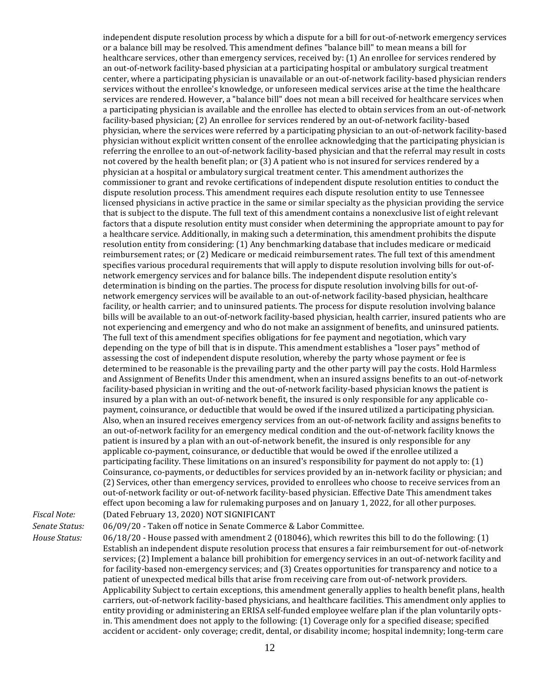independent dispute resolution process by which a dispute for a bill for out-of-network emergency services or a balance bill may be resolved. This amendment defines "balance bill" to mean means a bill for healthcare services, other than emergency services, received by: (1) An enrollee for services rendered by an out-of-network facility-based physician at a participating hospital or ambulatory surgical treatment center, where a participating physician is unavailable or an out-of-network facility-based physician renders services without the enrollee's knowledge, or unforeseen medical services arise at the time the healthcare services are rendered. However, a "balance bill" does not mean a bill received for healthcare services when a participating physician is available and the enrollee has elected to obtain services from an out-of-network facility-based physician; (2) An enrollee for services rendered by an out-of-network facility-based physician, where the services were referred by a participating physician to an out-of-network facility-based physician without explicit written consent of the enrollee acknowledging that the participating physician is referring the enrollee to an out-of-network facility-based physician and that the referral may result in costs not covered by the health benefit plan; or (3) A patient who is not insured for services rendered by a physician at a hospital or ambulatory surgical treatment center. This amendment authorizes the commissioner to grant and revoke certifications of independent dispute resolution entities to conduct the dispute resolution process. This amendment requires each dispute resolution entity to use Tennessee licensed physicians in active practice in the same or similar specialty as the physician providing the service that is subject to the dispute. The full text of this amendment contains a nonexclusive list of eight relevant factors that a dispute resolution entity must consider when determining the appropriate amount to pay for a healthcare service. Additionally, in making such a determination, this amendment prohibits the dispute resolution entity from considering: (1) Any benchmarking database that includes medicare or medicaid reimbursement rates; or (2) Medicare or medicaid reimbursement rates. The full text of this amendment specifies various procedural requirements that will apply to dispute resolution involving bills for out-ofnetwork emergency services and for balance bills. The independent dispute resolution entity's determination is binding on the parties. The process for dispute resolution involving bills for out-ofnetwork emergency services will be available to an out-of-network facility-based physician, healthcare facility, or health carrier; and to uninsured patients. The process for dispute resolution involving balance bills will be available to an out-of-network facility-based physician, health carrier, insured patients who are not experiencing and emergency and who do not make an assignment of benefits, and uninsured patients. The full text of this amendment specifies obligations for fee payment and negotiation, which vary depending on the type of bill that is in dispute. This amendment establishes a "loser pays" method of assessing the cost of independent dispute resolution, whereby the party whose payment or fee is determined to be reasonable is the prevailing party and the other party will pay the costs. Hold Harmless and Assignment of Benefits Under this amendment, when an insured assigns benefits to an out-of-network facility-based physician in writing and the out-of-network facility-based physician knows the patient is insured by a plan with an out-of-network benefit, the insured is only responsible for any applicable copayment, coinsurance, or deductible that would be owed if the insured utilized a participating physician. Also, when an insured receives emergency services from an out-of-network facility and assigns benefits to an out-of-network facility for an emergency medical condition and the out-of-network facility knows the patient is insured by a plan with an out-of-network benefit, the insured is only responsible for any applicable co-payment, coinsurance, or deductible that would be owed if the enrollee utilized a participating facility. These limitations on an insured's responsibility for payment do not apply to: (1) Coinsurance, co-payments, or deductibles for services provided by an in-network facility or physician; and (2) Services, other than emergency services, provided to enrollees who choose to receive services from an out-of-network facility or out-of-network facility-based physician. Effective Date This amendment takes effect upon becoming a law for rulemaking purposes and on January 1, 2022, for all other purposes. *Fiscal Note:* (Dated February 13, 2020) NOT SIGNIFICANT

*Senate Status:* 06/09/20 - Taken off notice in Senate Commerce & Labor Committee.

*House Status:* 06/18/20 - House passed with amendment 2 (018046), which rewrites this bill to do the following: (1) Establish an independent dispute resolution process that ensures a fair reimbursement for out-of-network services; (2) Implement a balance bill prohibition for emergency services in an out-of-network facility and for facility-based non-emergency services; and (3) Creates opportunities for transparency and notice to a patient of unexpected medical bills that arise from receiving care from out-of-network providers. Applicability Subject to certain exceptions, this amendment generally applies to health benefit plans, health carriers, out-of-network facility-based physicians, and healthcare facilities. This amendment only applies to entity providing or administering an ERISA self-funded employee welfare plan if the plan voluntarily optsin. This amendment does not apply to the following: (1) Coverage only for a specified disease; specified accident or accident- only coverage; credit, dental, or disability income; hospital indemnity; long-term care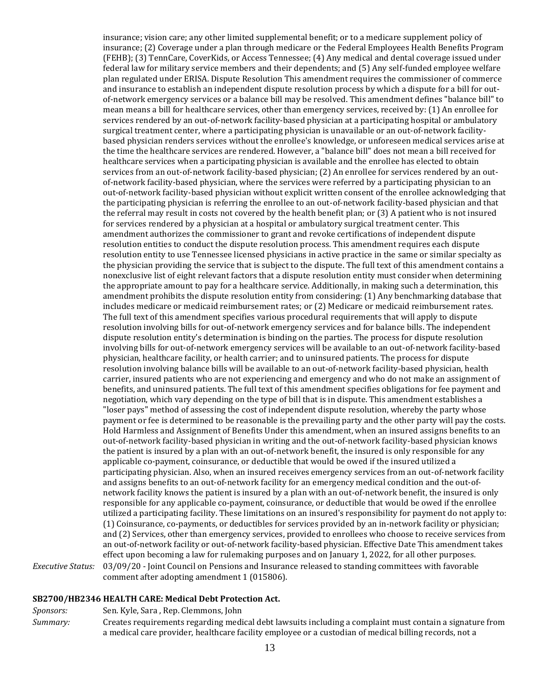insurance; vision care; any other limited supplemental benefit; or to a medicare supplement policy of insurance; (2) Coverage under a plan through medicare or the Federal Employees Health Benefits Program (FEHB); (3) TennCare, CoverKids, or Access Tennessee; (4) Any medical and dental coverage issued under federal law for military service members and their dependents; and (5) Any self-funded employee welfare plan regulated under ERISA. Dispute Resolution This amendment requires the commissioner of commerce and insurance to establish an independent dispute resolution process by which a dispute for a bill for outof-network emergency services or a balance bill may be resolved. This amendment defines "balance bill" to mean means a bill for healthcare services, other than emergency services, received by: (1) An enrollee for services rendered by an out-of-network facility-based physician at a participating hospital or ambulatory surgical treatment center, where a participating physician is unavailable or an out-of-network facilitybased physician renders services without the enrollee's knowledge, or unforeseen medical services arise at the time the healthcare services are rendered. However, a "balance bill" does not mean a bill received for healthcare services when a participating physician is available and the enrollee has elected to obtain services from an out-of-network facility-based physician; (2) An enrollee for services rendered by an outof-network facility-based physician, where the services were referred by a participating physician to an out-of-network facility-based physician without explicit written consent of the enrollee acknowledging that the participating physician is referring the enrollee to an out-of-network facility-based physician and that the referral may result in costs not covered by the health benefit plan; or (3) A patient who is not insured for services rendered by a physician at a hospital or ambulatory surgical treatment center. This amendment authorizes the commissioner to grant and revoke certifications of independent dispute resolution entities to conduct the dispute resolution process. This amendment requires each dispute resolution entity to use Tennessee licensed physicians in active practice in the same or similar specialty as the physician providing the service that is subject to the dispute. The full text of this amendment contains a nonexclusive list of eight relevant factors that a dispute resolution entity must consider when determining the appropriate amount to pay for a healthcare service. Additionally, in making such a determination, this amendment prohibits the dispute resolution entity from considering: (1) Any benchmarking database that includes medicare or medicaid reimbursement rates; or (2) Medicare or medicaid reimbursement rates. The full text of this amendment specifies various procedural requirements that will apply to dispute resolution involving bills for out-of-network emergency services and for balance bills. The independent dispute resolution entity's determination is binding on the parties. The process for dispute resolution involving bills for out-of-network emergency services will be available to an out-of-network facility-based physician, healthcare facility, or health carrier; and to uninsured patients. The process for dispute resolution involving balance bills will be available to an out-of-network facility-based physician, health carrier, insured patients who are not experiencing and emergency and who do not make an assignment of benefits, and uninsured patients. The full text of this amendment specifies obligations for fee payment and negotiation, which vary depending on the type of bill that is in dispute. This amendment establishes a "loser pays" method of assessing the cost of independent dispute resolution, whereby the party whose payment or fee is determined to be reasonable is the prevailing party and the other party will pay the costs. Hold Harmless and Assignment of Benefits Under this amendment, when an insured assigns benefits to an out-of-network facility-based physician in writing and the out-of-network facility-based physician knows the patient is insured by a plan with an out-of-network benefit, the insured is only responsible for any applicable co-payment, coinsurance, or deductible that would be owed if the insured utilized a participating physician. Also, when an insured receives emergency services from an out-of-network facility and assigns benefits to an out-of-network facility for an emergency medical condition and the out-ofnetwork facility knows the patient is insured by a plan with an out-of-network benefit, the insured is only responsible for any applicable co-payment, coinsurance, or deductible that would be owed if the enrollee utilized a participating facility. These limitations on an insured's responsibility for payment do not apply to: (1) Coinsurance, co-payments, or deductibles for services provided by an in-network facility or physician; and (2) Services, other than emergency services, provided to enrollees who choose to receive services from an out-of-network facility or out-of-network facility-based physician. Effective Date This amendment takes effect upon becoming a law for rulemaking purposes and on January 1, 2022, for all other purposes. *Executive Status:* 03/09/20 - Joint Council on Pensions and Insurance released to standing committees with favorable comment after adopting amendment 1 (015806).

### **[SB2700/HB2346 HEALTH CARE: Medical Debt Protection Act.](https://tls.mleesmith.com/2019-2020/pdf/SB2700.pdf)**

*Sponsors:* Sen. Kyle, Sara , Rep. Clemmons, John

*Summary:* Creates requirements regarding medical debt lawsuits including a complaint must contain a signature from a medical care provider, healthcare facility employee or a custodian of medical billing records, not a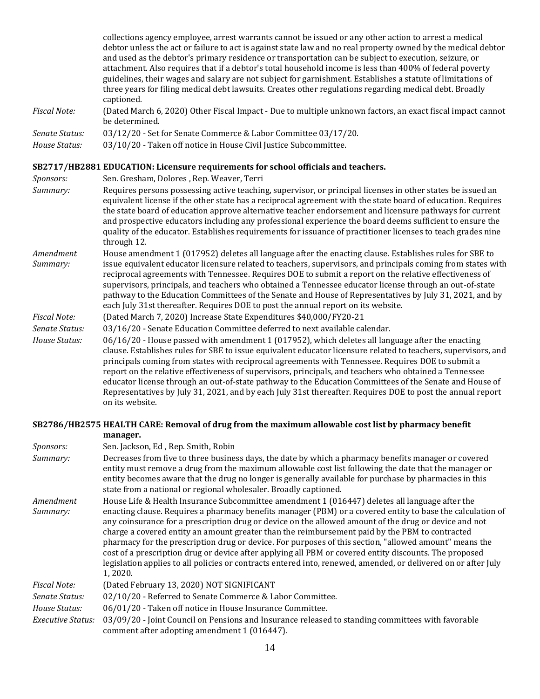collections agency employee, arrest warrants cannot be issued or any other action to arrest a medical debtor unless the act or failure to act is against state law and no real property owned by the medical debtor and used as the debtor's primary residence or transportation can be subject to execution, seizure, or attachment. Also requires that if a debtor's total household income is less than 400% of federal poverty guidelines, their wages and salary are not subject for garnishment. Establishes a statute of limitations of three years for filing medical debt lawsuits. Creates other regulations regarding medical debt. Broadly captioned.

- *Fiscal Note:* (Dated March 6, 2020) Other Fiscal Impact Due to multiple unknown factors, an exact fiscal impact cannot be determined.
- *Senate Status:* 03/12/20 Set for Senate Commerce & Labor Committee 03/17/20.
- *House Status:* 03/10/20 Taken off notice in House Civil Justice Subcommittee.

#### **[SB2717/HB2881 EDUCATION: Licensure requirements for school officials and teachers.](https://tls.mleesmith.com/2019-2020/pdf/SB2717.pdf)**

- *Sponsors:* Sen. Gresham, Dolores , Rep. Weaver, Terri
- *Summary:* Requires persons possessing active teaching, supervisor, or principal licenses in other states be issued an equivalent license if the other state has a reciprocal agreement with the state board of education. Requires the state board of education approve alternative teacher endorsement and licensure pathways for current and prospective educators including any professional experience the board deems sufficient to ensure the quality of the educator. Establishes requirements for issuance of practitioner licenses to teach grades nine through 12.
- *Amendment Summary:* House amendment 1 (017952) deletes all language after the enacting clause. Establishes rules for SBE to issue equivalent educator licensure related to teachers, supervisors, and principals coming from states with reciprocal agreements with Tennessee. Requires DOE to submit a report on the relative effectiveness of supervisors, principals, and teachers who obtained a Tennessee educator license through an out-of-state pathway to the Education Committees of the Senate and House of Representatives by July 31, 2021, and by each July 31st thereafter. Requires DOE to post the annual report on its website.
- *Fiscal Note:* (Dated March 7, 2020) Increase State Expenditures \$40,000/FY20-21

*Senate Status:* 03/16/20 - Senate Education Committee deferred to next available calendar.

*House Status:* 06/16/20 - House passed with amendment 1 (017952), which deletes all language after the enacting clause. Establishes rules for SBE to issue equivalent educator licensure related to teachers, supervisors, and principals coming from states with reciprocal agreements with Tennessee. Requires DOE to submit a report on the relative effectiveness of supervisors, principals, and teachers who obtained a Tennessee educator license through an out-of-state pathway to the Education Committees of the Senate and House of Representatives by July 31, 2021, and by each July 31st thereafter. Requires DOE to post the annual report on its website.

#### **[SB2786/HB2575 HEALTH CARE: Removal of drug from the maximum allowable cost list by pharmacy benefit](https://tls.mleesmith.com/2019-2020/pdf/SB2786.pdf)  [manager.](https://tls.mleesmith.com/2019-2020/pdf/SB2786.pdf)**

| Sponsors:             | Sen. Jackson, Ed, Rep. Smith, Robin                                                                                                                                                                                                                                                                                                                                                                                                                                                                                                                                                                                                                                                                                                                                       |
|-----------------------|---------------------------------------------------------------------------------------------------------------------------------------------------------------------------------------------------------------------------------------------------------------------------------------------------------------------------------------------------------------------------------------------------------------------------------------------------------------------------------------------------------------------------------------------------------------------------------------------------------------------------------------------------------------------------------------------------------------------------------------------------------------------------|
| Summary:              | Decreases from five to three business days, the date by which a pharmacy benefits manager or covered<br>entity must remove a drug from the maximum allowable cost list following the date that the manager or<br>entity becomes aware that the drug no longer is generally available for purchase by pharmacies in this<br>state from a national or regional wholesaler. Broadly captioned.                                                                                                                                                                                                                                                                                                                                                                               |
| Amendment<br>Summary: | House Life & Health Insurance Subcommittee amendment 1 (016447) deletes all language after the<br>enacting clause. Requires a pharmacy benefits manager (PBM) or a covered entity to base the calculation of<br>any coinsurance for a prescription drug or device on the allowed amount of the drug or device and not<br>charge a covered entity an amount greater than the reimbursement paid by the PBM to contracted<br>pharmacy for the prescription drug or device. For purposes of this section, "allowed amount" means the<br>cost of a prescription drug or device after applying all PBM or covered entity discounts. The proposed<br>legislation applies to all policies or contracts entered into, renewed, amended, or delivered on or after July<br>1, 2020. |
| <b>Fiscal Note:</b>   | (Dated February 13, 2020) NOT SIGNIFICANT                                                                                                                                                                                                                                                                                                                                                                                                                                                                                                                                                                                                                                                                                                                                 |
| Senate Status:        | 02/10/20 - Referred to Senate Commerce & Labor Committee.                                                                                                                                                                                                                                                                                                                                                                                                                                                                                                                                                                                                                                                                                                                 |
| House Status:         | 06/01/20 - Taken off notice in House Insurance Committee.                                                                                                                                                                                                                                                                                                                                                                                                                                                                                                                                                                                                                                                                                                                 |
| Executive Status:     | 03/09/20 - Joint Council on Pensions and Insurance released to standing committees with favorable<br>comment after adopting amendment 1 (016447).                                                                                                                                                                                                                                                                                                                                                                                                                                                                                                                                                                                                                         |